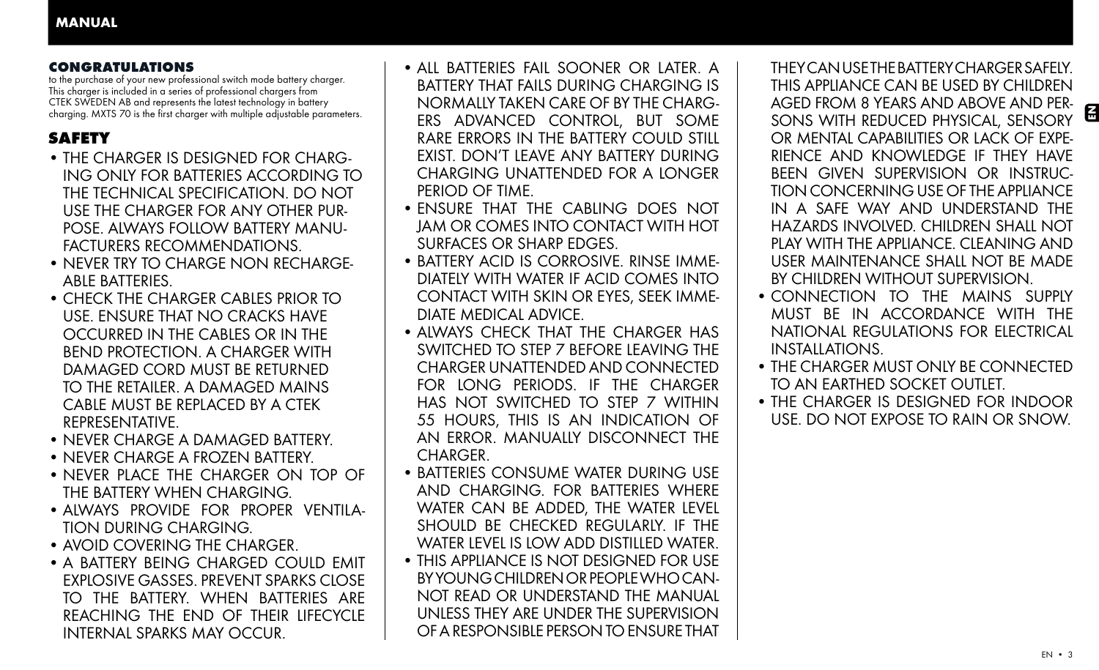## CONGRATULATIONS

to the purchase of your new professional switch mode battery charger. This charger is included in a series of professional chargers from CTEK SWEDEN AB and represents the latest technology in battery charging. MXTS 70 is the first charger with multiple adjustable parameters.

# **SAFETY**

- THE CHARGER IS DESIGNED FOR CHARG-ING ONLY FOR BATTERIES ACCORDING TO THE TECHNICAL SPECIFICATION. DO NOT USE THE CHARGER FOR ANY OTHER PUR-POSE. ALWAYS FOLLOW BATTERY MANU-FACTURERS RECOMMENDATIONS.
- NEVER TRY TO CHARGE NON RECHARGE-ABLE BATTERIES.
- CHECK THE CHARGER CABLES PRIOR TO USE. ENSURE THAT NO CRACKS HAVE OCCURRED IN THE CABLES OR IN THE BEND PROTECTION. A CHARGER WITH DAMAGED CORD MUST BE RETURNED TO THE RETAILER. A DAMAGED MAINS CABLE MUST BE REPLACED BY A CTEK REPRESENTATIVE.
- NEVER CHARGE A DAMAGED BATTERY.
- NEVER CHARGE A FROZEN BATTERY.
- NEVER PLACE THE CHARGER ON TOP OF THE BATTERY WHEN CHARGING.
- ALWAYS PROVIDE FOR PROPER VENTILA-TION DURING CHARGING.
- AVOID COVERING THE CHARGER.
- A BATTERY BEING CHARGED COULD EMIT EXPLOSIVE GASSES. PREVENT SPARKS CLOSE TO THE BATTERY. WHEN BATTERIES ARE REACHING THE END OF THEIR LIFECYCLE INTERNAL SPARKS MAY OCCUR.
- AIL BATTERIES FAIL SOONER OR LATER. A BATTERY THAT FAILS DURING CHARGING IS NORMALLY TAKEN CARE OF BY THE CHARG-ERS ADVANCED CONTROL, BUT SOME RARE ERRORS IN THE BATTERY COULD STILL EXIST. DON'T LEAVE ANY BATTERY DURING CHARGING UNATTENDED FOR A LONGER PERIOD OF TIME.
- ENSURE THAT THE CABLING DOES NOT JAM OR COMES INTO CONTACT WITH HOT SURFACES OR SHARP EDGES.
- BATTERY ACID IS CORROSIVE. RINSE IMME-DIATELY WITH WATER IF ACID COMES INTO CONTACT WITH SKIN OR EYES, SEEK IMME-DIATE MEDICAL ADVICE.
- AIWAYS CHECK THAT THE CHARGER HAS SWITCHED TO STEP 7 BEFORE LEAVING THE CHARGER UNATTENDED AND CONNECTED FOR LONG PERIODS. IF THE CHARGER HAS NOT SWITCHED TO STEP 7 WITHIN 55 HOURS, THIS IS AN INDICATION OF AN ERROR. MANUALLY DISCONNECT THE CHARGER.
- BATTERIES CONSUME WATER DURING USE AND CHARGING. FOR BATTERIES WHERE WATER CAN BE ADDED, THE WATER LEVEL SHOULD BE CHECKED REGULARLY. IF THE WATER LEVEL IS LOW ADD DISTILLED WATER.
- THIS APPLIANCE IS NOT DESIGNED FOR USE BY YOUNG CHILDREN OR PEOPLE WHO CAN-NOT READ OR UNDERSTAND THE MANUAL UNLESS THEY ARE UNDER THE SUPERVISION OF A RESPONSIBLE PERSON TO ENSURE THAT

 $\blacksquare$ THEY CAN USE THE BATTERY CHARGER SAFELY. THIS APPLIANCE CAN BE USED BY CHILDREN AGED FROM 8 YEARS AND ABOVE AND PER-SONS WITH REDUCED PHYSICAL, SENSORY OR MENTAL CAPABILITIES OR LACK OF EXPE-RIENCE AND KNOWLEDGE IF THEY HAVE BEEN GIVEN SUPERVISION OR INSTRUC-TION CONCERNING USE OF THE APPLIANCE IN A SAFE WAY AND UNDERSTAND THE HAZARDS INVOLVED. CHILDREN SHALL NOT PLAY WITH THE APPLIANCE. CLEANING AND USER MAINTENANCE SHALL NOT BE MADE BY CHILDREN WITHOUT SUPERVISION.

- CONNECTION TO THE MAINS SUPPLY MUST BE IN ACCORDANCE WITH THE NATIONAL REGULATIONS FOR ELECTRICAL INSTALLATIONS.
- THE CHARGER MUST ONLY BE CONNECTED TO AN EARTHED SOCKET OUTLET.
- THE CHARGER IS DESIGNED FOR INDOOR USE. DO NOT EXPOSE TO RAIN OR SNOW.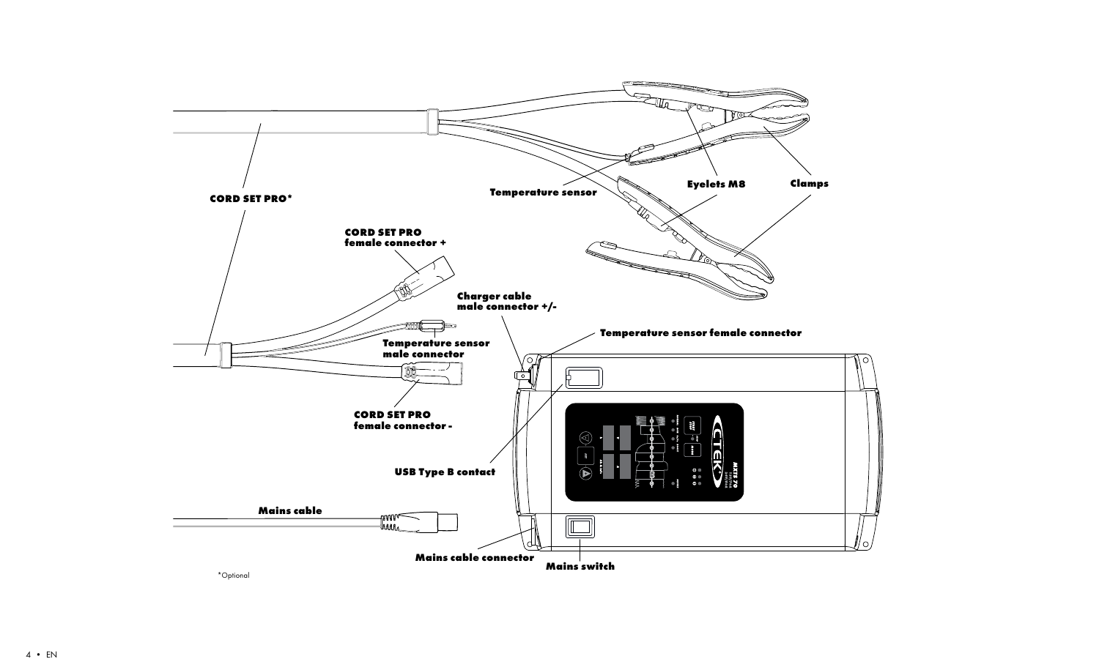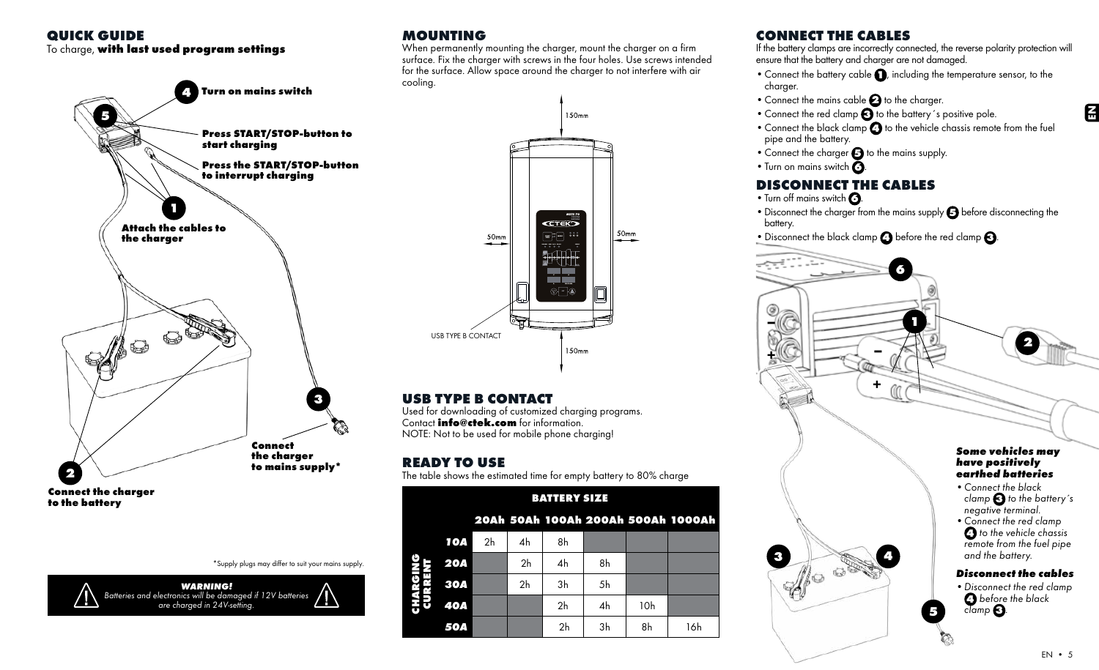## QUICK GUIDE

## To charge, with last used program settings



Connect the charger to the battery

\*Supply plugs may differ to suit your mains supply.



# MOUNTING

When permanently mounting the charger, mount the charger on a firm surface. Fix the charger with screws in the four holes. Use screws intended for the surface. Allow space around the charger to not interfere with air cooling.



# USB TYPE B CONTACT

Used for downloading of customized charging programs. Contact **info@ctek.com** for information. NOTE: Not to be used for mobile phone charging!

# READY TO USE

The table shows the estimated time for empty battery to 80% charge

|    | <b>BATTERY SIZE</b> |                |                |                |    |     |                                    |
|----|---------------------|----------------|----------------|----------------|----|-----|------------------------------------|
|    |                     |                |                |                |    |     | 20Ah 50Ah 100Ah 200Ah 500Ah 1000Ah |
|    | 1 O A               | 2 <sub>h</sub> | 4h             | 8h             |    |     |                                    |
|    | <b>20A</b>          |                | 2 <sub>h</sub> | 4h             | 8h |     |                                    |
|    | <b>30A</b>          |                | 2 <sub>h</sub> | 3h             | 5h |     |                                    |
| 동유 | <b>40A</b>          |                |                | 2 <sub>h</sub> | 4h | 10h |                                    |
|    | 50A                 |                |                | 2 <sub>h</sub> | 3h | 8h  | 16h                                |

# CONNECT THE CABLES

If the battery clamps are incorrectly connected, the reverse polarity protection will ensure that the battery and charger are not damaged.

- $\bullet$  Connect the battery cable  $\bigcap$ , including the temperature sensor, to the charger.
- $\bullet$  Connect the mains cable  $\bullet$  to the charger.
- Connect the red clamp  $\bigodot$  to the battery's positive pole.
- Connect the black clamp  $\bigodot$  to the vehicle chassis remote from the fuel pipe and the battery.
- Connect the charger  $\bigodot$  to the mains supply.
- Turn on mains switch  $\mathbf{\Omega}$

# DISCONNECT THE CABLES

- Turn off mains switch **3**.
- Disconnect the charger from the mains supply  $\bigodot$  before disconnecting the battery.
- Disconnect the black clamp  $\bigodot$  before the red clamp  $\bigodot$ .



 $\overline{E}$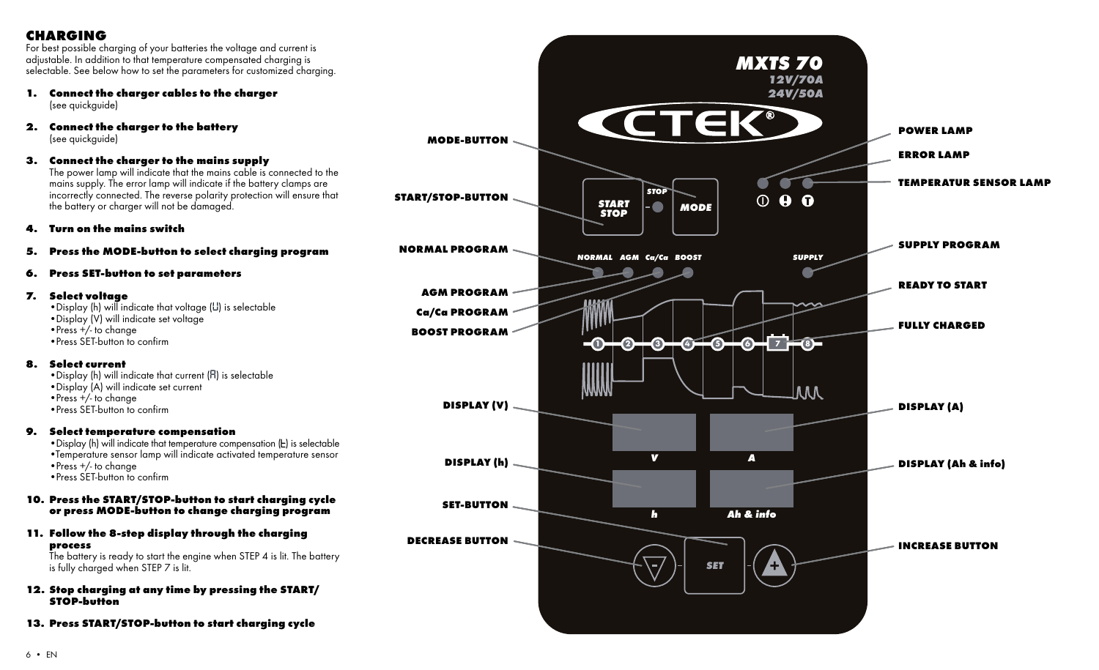## CHARGING

For best possible charging of your batteries the voltage and current is adjustable. In addition to that temperature compensated charging is selectable. See below how to set the parameters for customized charging.

- 1. Connect the charger cables to the charger (see quickquide)
- 2. Connect the charger to the battery (see auickauide)

## 3. Connect the charger to the mains supply

The power lamp will indicate that the mains cable is connected to the mains supply. The error lamp will indicate if the battery clamps are incorrectly connected. The reverse polarity protection will ensure that the battery or charger will not be damaged.

#### 4. Turn on the mains switch

#### 5. Press the MODE-button to select charging program

## 6. Press SET-button to set parameters

#### 7. Select voltage

•Display (h) will indicate that voltage (*U*) is selectable •Display (V) will indicate set voltage •Press +/- to change •Press SET-button to confirm

#### 8. Select current

•Display (h) will indicate that current (*A*) is selectable •Display (A) will indicate set current •Press +/- to change •Press SET-button to confirm

#### 9. Select temperature compensation

• Display (h) will indicate that temperature compensation  $(E)$  is selectable •Temperature sensor lamp will indicate activated temperature sensor •Press +/- to change •Press SET-button to confirm

#### 10. Press the START/STOP-button to start charging cycle or press MODE-button to change charging program

11. Follow the 8-step display through the charging process

The battery is ready to start the engine when STEP 4 is lit. The battery is fully charged when STEP 7 is lit.

- 12. Stop charging at any time by pressing the START/ STOP-button
- 13. Press START/STOP-button to start charging cycle

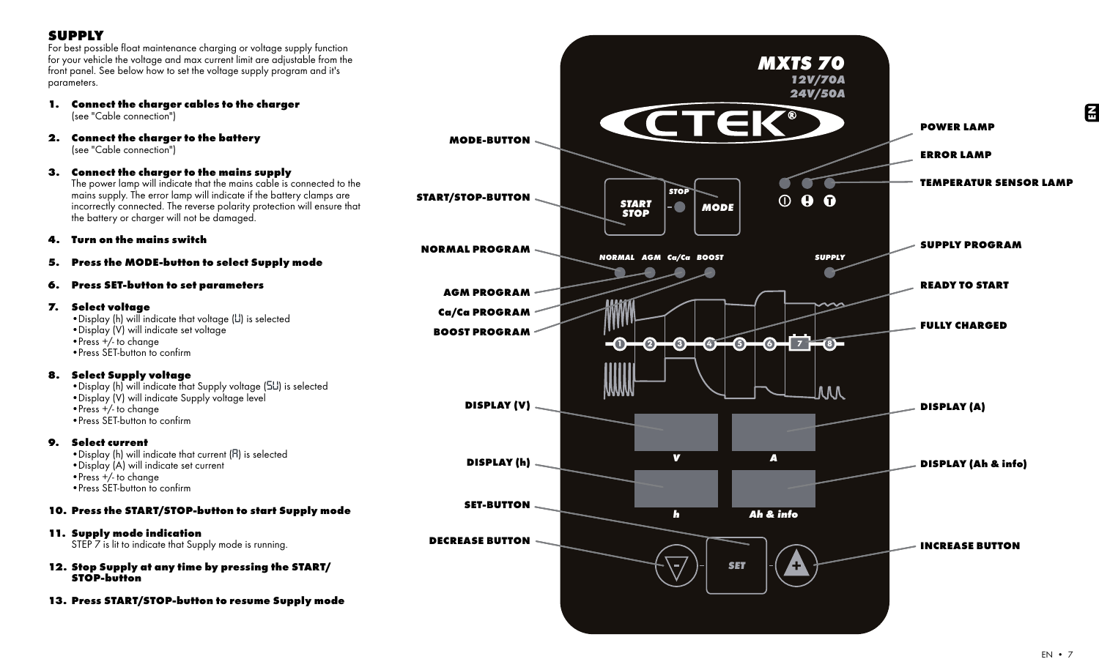## **SUPPLY**

For best possible float maintenance charging or voltage supply function for your vehicle the voltage and max current limit are adjustable from the front panel. See below how to set the voltage supply program and it's parameters.

- 1. Connect the charger cables to the charger (see "Cable connection")
- 2. Connect the charger to the battery (see "Cable connection")
- 3. Connect the charger to the mains supply

The power lamp will indicate that the mains cable is connected to the mains supply. The error lamp will indicate if the battery clamps are incorrectly connected. The reverse polarity protection will ensure that the battery or charger will not be damaged.

4. Turn on the mains switch

- 5. Press the MODE-button to select Supply mode
- 6. Press SET-button to set parameters

## 7. Select voltage

•Display (h) will indicate that voltage (*U*) is selected •Display (V) will indicate set voltage •Press +/- to change •Press SET-button to confirm

#### 8. Select Supply voltage

•Display (h) will indicate that Supply voltage (*Su*) is selected •Display (V) will indicate Supply voltage level •Press +/- to change •Press SET-button to confirm

9. Select current

•Display (h) will indicate that current (*A*) is selected •Display (A) will indicate set current •Press +/- to change •Press SET-button to confirm

10. Press the START/STOP-button to start Supply mode

## 11. Supply mode indication

STEP 7 is lit to indicate that Supply mode is running.

- 12. Stop Supply at any time by pressing the START/ STOP-button
- 13. Press START/STOP-button to resume Supply mode

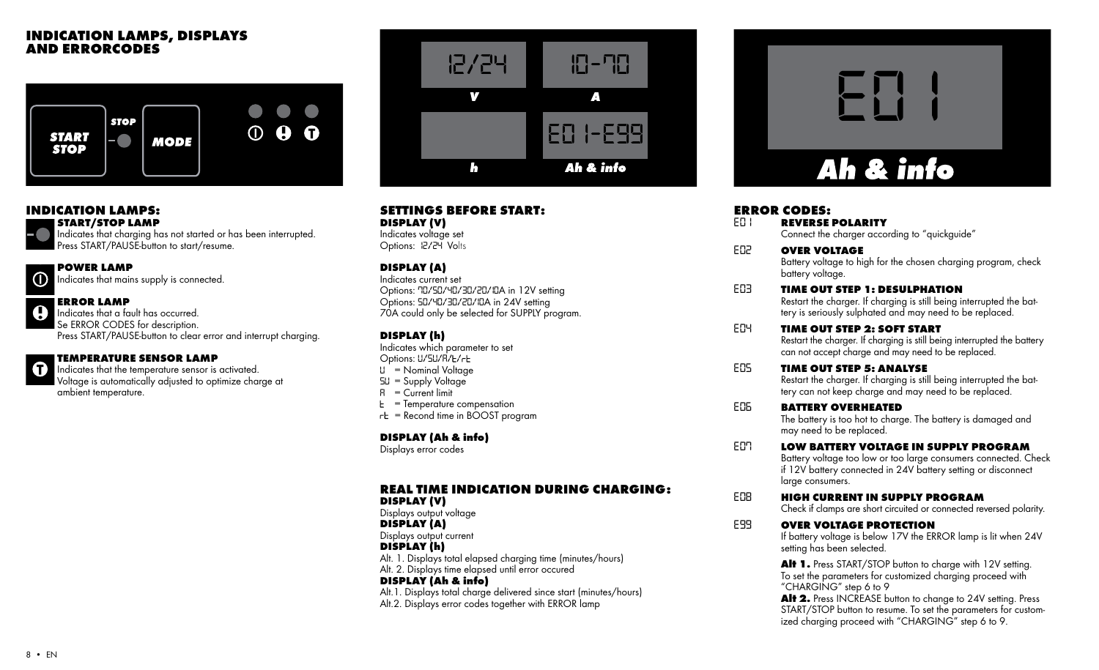## INDICATION LAMPS, DISPLAYS AND ERRORCODES



## INDICATION LAMPS:

START/STOP LAMP

Indicates that charging has not started or has been interrupted. Press START/PAUSE-button to start/resume.

## POWER LAMP

Indicates that mains supply is connected.

## ERROR LAMP

Indicates that a fault has occurred. Se ERROR CODES for description. Press START/PAUSE-button to clear error and interrupt charging.



## TEMPERATURE SENSOR LAMP

Indicates that the temperature sensor is activated. Voltage is automatically adjusted to optimize charge at ambient temperature.



# SETTINGS BEFORE START:

DISPLAY (V) Indicates voltage set Options: *12/24* Volts

## DISPLAY (A)

Indicates current set Options: *70/50/40/30/20/10*A in 12V setting Options: *50/40/30/20/10*A in 24V setting 70A could only be selected for SUPPLY program.

## DISPLAY (h)

Indicates which parameter to set Options: *U/SU/A/ /*

- *U* = Nominal Voltage
- *SU* = Supply Voltage
- *A* = Current limit
- *E* = Temperature compensation
- $r<sub>E</sub>$  = Recond time in BOOST program

## DISPLAY (Ah & info)

Displays error codes

#### REAL TIME INDICATION DURING CHARGING: DISPLAY (V)

Displays output voltage

DISPLAY (A)

Displays output current

DISPLAY (h)

Alt. 1. Displays total elapsed charging time (minutes/hours)

Alt. 2. Displays time elapsed until error occured DISPLAY (Ah & info)

Alt.1. Displays total charge delivered since start (minutes/hours) Alt.2. Displays error codes together with ERROR lamp



# **ERROR CODES:**<br>EN REVERSE

**REVERSE POLARITY** Connect the charger according to "auickauide"

- *E02* OVER VOLTAGE Battery voltage to high for the chosen charging program, check battery voltage.
- *E03* TIME OUT STEP 1: DESULPHATION

 Restart the charger. If charging is still being interrupted the battery is seriously sulphated and may need to be replaced.

- *E04* TIME OUT STEP 2: SOFT START Restart the charger. If charging is still being interrupted the battery can not accept charge and may need to be replaced.
- *E05* TIME OUT STEP 5: ANALYSE Restart the charger. If charging is still being interrupted the battery can not keep charge and may need to be replaced.

## *E06* BATTERY OVERHEATED

 The battery is too hot to charge. The battery is damaged and may need to be replaced.

*E07* LOW BATTERY VOLTAGE IN SUPPLY PROGRAM

 Battery voltage too low or too large consumers connected. Check if 12V battery connected in 24V battery setting or disconnect large consumers.

*E08* HIGH CURRENT IN SUPPLY PROGRAM

Check if clamps are short circuited or connected reversed polarity.

## **E99 OVER VOLTAGE PROTECTION**

 If battery voltage is below 17V the ERROR lamp is lit when 24V setting has been selected.

Alt 1. Press START/STOP button to charge with 12V setting. To set the parameters for customized charging proceed with "CHARGING" step 6 to 9

Alt 2. Press INCREASE button to change to 24V setting. Press START/STOP button to resume. To set the parameters for customized charging proceed with "CHARGING" step 6 to 9.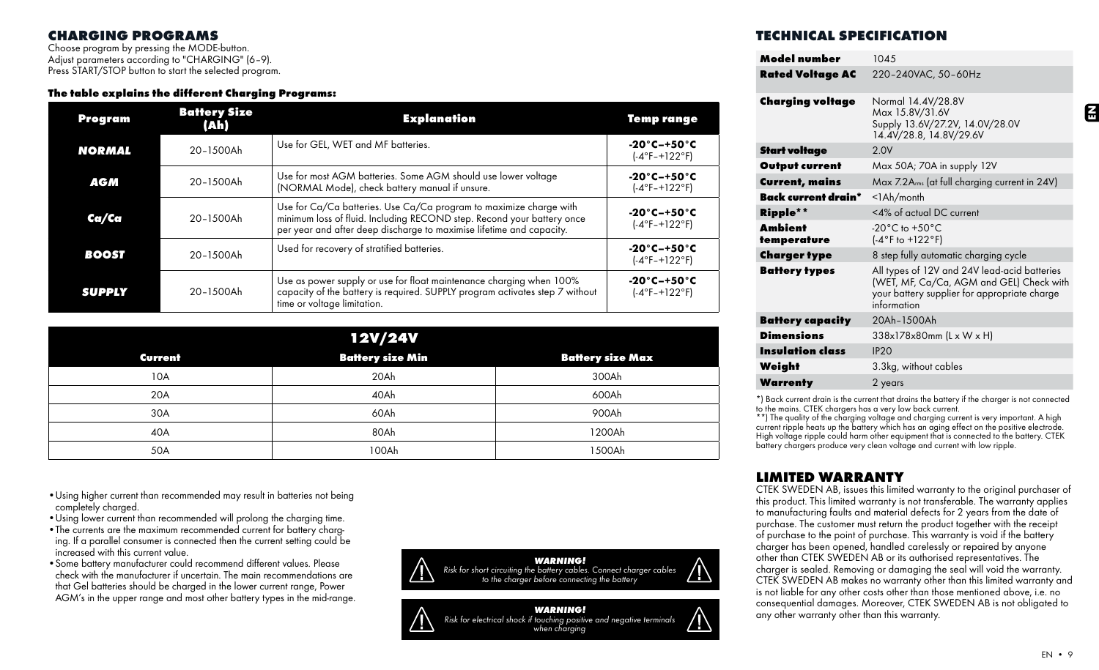## CHARGING PROGRAMS

Choose program by pressing the MODE-button. Adjust parameters according to "CHARGING" (6-9). Press START/STOP button to start the selected program.

## The table explains the different Charging Programs:

| Program       | <b>Battery Size</b><br>(Ah) | <b>Explanation</b>                                                                                                                                                                                                   | Temp range                                                          |
|---------------|-----------------------------|----------------------------------------------------------------------------------------------------------------------------------------------------------------------------------------------------------------------|---------------------------------------------------------------------|
| <b>NORMAL</b> | 20-1500Ah                   | Use for GEL, WET and MF batteries.                                                                                                                                                                                   | $-20^\circ$ C-+50 $^\circ$ C<br>$(-4^{\circ}F - +122^{\circ}F)$     |
| <b>AGM</b>    | 20-1500Ah                   | Use for most AGM batteries. Some AGM should use lower voltage<br>(NORMAL Mode), check battery manual if unsure.                                                                                                      | $-20^{\circ}$ C $-+50^{\circ}$ C<br>$(-4^{\circ}F - +122^{\circ}F)$ |
| Ca/Ca         | 20-1500Ah                   | Use for Ca/Ca batteries. Use Ca/Ca program to maximize charge with<br>minimum loss of fluid. Including RECOND step. Recond your battery once<br>per year and after deep discharge to maximise lifetime and capacity. | $-20^{\circ}$ C $-+50^{\circ}$ C<br>$(-4^{\circ}F - +122^{\circ}F)$ |
| <b>BOOST</b>  | 20-1500Ah                   | Used for recovery of stratified batteries.                                                                                                                                                                           | $-20^{\circ}$ C $-+50^{\circ}$ C<br>$(-4^{\circ}F - +122^{\circ}F)$ |
| <b>SUPPLY</b> | 20-1500Ah                   | Use as power supply or use for float maintenance charging when 100%<br>capacity of the battery is required. SUPPLY program activates step 7 without<br>time or voltage limitation.                                   | $-20^{\circ}$ C $-+50^{\circ}$ C<br>$(-4^{\circ}F - +122^{\circ}F)$ |

| <b>12V/24V</b> |                         |                         |  |  |  |  |
|----------------|-------------------------|-------------------------|--|--|--|--|
| <b>Current</b> | <b>Battery size Min</b> | <b>Battery size Max</b> |  |  |  |  |
| 10A            | 20Ah                    | 300Ah                   |  |  |  |  |
| 20A            | 40Ah                    | 600Ah                   |  |  |  |  |
| 30A            | 60Ah                    | 900Ah                   |  |  |  |  |
| 40A            | 80Ah                    | 1200Ah                  |  |  |  |  |
| 50A            | 100Ah                   | 1500Ah                  |  |  |  |  |

•Using higher current than recommended may result in batteries not being completely charged.

- •Using lower current than recommended will prolong the charging time.
- •The currents are the maximum recommended current for battery charging. If a parallel consumer is connected then the current setting could be increased with this current value.
- •Some battery manufacturer could recommend different values. Please check with the manufacturer if uncertain. The main recommendations are that Gel batteries should be charged in the lower current range, Power AGM's in the upper range and most other battery types in the mid-range.



## TECHNICAL SPECIFICATION

| Model number            | 1045                                                                                                                                                    |
|-------------------------|---------------------------------------------------------------------------------------------------------------------------------------------------------|
| <b>Rated Voltage AC</b> | 220-240VAC, 50-60Hz                                                                                                                                     |
| <b>Charging voltage</b> | Normal 14.4V/28.8V<br>Max 15.8V/31.6V<br>Supply 13.6V/27.2V, 14.0V/28.0V<br>14.4V/28.8, 14.8V/29.6V                                                     |
| <b>Start voltage</b>    | 2.0V                                                                                                                                                    |
| <b>Output current</b>   | Max 50A; 70A in supply 12V                                                                                                                              |
| <b>Current, mains</b>   | Max 7.2A <sub>rms</sub> (at full charging current in 24V)                                                                                               |
| Back current drain*     | $<$ l $Ah/m$ onth                                                                                                                                       |
| Ripple**                | <4% of actual DC current                                                                                                                                |
| Ambient<br>temperature  | $-20^{\circ}$ C to $+50^{\circ}$ C<br>$(-4°F to +122°F)$                                                                                                |
| Charger type            | 8 step fully automatic charging cycle                                                                                                                   |
| <b>Battery types</b>    | All types of 12V and 24V lead-acid batteries<br>(WET, MF, Ca/Ca, AGM and GEL) Check with<br>your battery supplier for appropriate charge<br>information |
| <b>Battery capacity</b> | 20Ah-1500Ah                                                                                                                                             |
| <b>Dimensions</b>       | $338\times178\times80$ mm (L x W x H)                                                                                                                   |
| <b>Insulation class</b> | IP2O                                                                                                                                                    |
| Weight                  | 3.3kg, without cables                                                                                                                                   |
| <b>Warrenty</b>         | 2 years                                                                                                                                                 |

\*) Back current drain is the current that drains the battery if the charger is not connected to the mains. CTEK chargers has a very low back current.

\*\*) The quality of the charging voltage and charging current is very important. A high current ripple heats up the battery which has an aging effect on the positive electrode. High voltage ripple could harm other equipment that is connected to the battery. CTEK battery chargers produce very clean voltage and current with low ripple.

# LIMITED WARRANTY

CTEK SWEDEN AB, issues this limited warranty to the original purchaser of this product. This limited warranty is not transferable. The warranty applies to manufacturing faults and material defects for 2 years from the date of purchase. The customer must return the product together with the receipt of purchase to the point of purchase. This warranty is void if the battery charger has been opened, handled carelessly or repaired by anyone other than CTEK SWEDEN AB or its authorised representatives. The charger is sealed. Removing or damaging the seal will void the warranty. CTEK SWEDEN AB makes no warranty other than this limited warranty and is not liable for any other costs other than those mentioned above, i.e. no consequential damages. Moreover, CTEK SWEDEN AB is not obligated to any other warranty other than this warranty.

EN